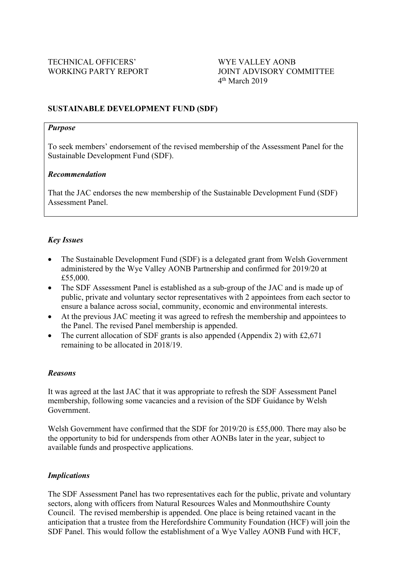# **SUSTAINABLE DEVELOPMENT FUND (SDF)**

#### *Purpose*

To seek members' endorsement of the revised membership of the Assessment Panel for the Sustainable Development Fund (SDF).

## *Recommendation*

That the JAC endorses the new membership of the Sustainable Development Fund (SDF) Assessment Panel.

# *Key Issues*

- The Sustainable Development Fund (SDF) is a delegated grant from Welsh Government administered by the Wye Valley AONB Partnership and confirmed for 2019/20 at £55,000.
- The SDF Assessment Panel is established as a sub-group of the JAC and is made up of public, private and voluntary sector representatives with 2 appointees from each sector to ensure a balance across social, community, economic and environmental interests.
- At the previous JAC meeting it was agreed to refresh the membership and appointees to the Panel. The revised Panel membership is appended.
- The current allocation of SDF grants is also appended (Appendix 2) with £2,671 remaining to be allocated in 2018/19.

## *Reasons*

It was agreed at the last JAC that it was appropriate to refresh the SDF Assessment Panel membership, following some vacancies and a revision of the SDF Guidance by Welsh Government.

Welsh Government have confirmed that the SDF for 2019/20 is £55,000. There may also be the opportunity to bid for underspends from other AONBs later in the year, subject to available funds and prospective applications.

# *Implications*

The SDF Assessment Panel has two representatives each for the public, private and voluntary sectors, along with officers from Natural Resources Wales and Monmouthshire County Council. The revised membership is appended. One place is being retained vacant in the anticipation that a trustee from the Herefordshire Community Foundation (HCF) will join the SDF Panel. This would follow the establishment of a Wye Valley AONB Fund with HCF,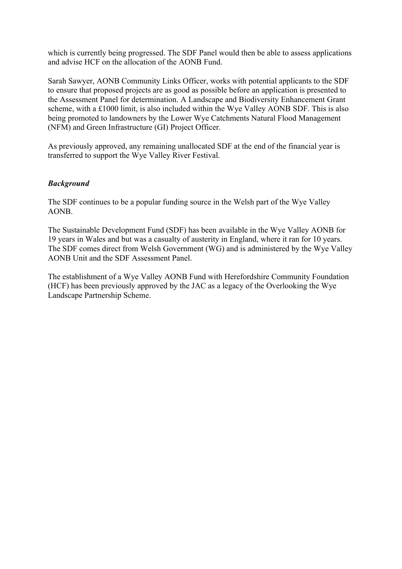which is currently being progressed. The SDF Panel would then be able to assess applications and advise HCF on the allocation of the AONB Fund.

Sarah Sawyer, AONB Community Links Officer, works with potential applicants to the SDF to ensure that proposed projects are as good as possible before an application is presented to the Assessment Panel for determination. A Landscape and Biodiversity Enhancement Grant scheme, with a £1000 limit, is also included within the Wye Valley AONB SDF. This is also being promoted to landowners by the Lower Wye Catchments Natural Flood Management (NFM) and Green Infrastructure (GI) Project Officer.

As previously approved, any remaining unallocated SDF at the end of the financial year is transferred to support the Wye Valley River Festival.

# *Background*

The SDF continues to be a popular funding source in the Welsh part of the Wye Valley AONB.

The Sustainable Development Fund (SDF) has been available in the Wye Valley AONB for 19 years in Wales and but was a casualty of austerity in England, where it ran for 10 years. The SDF comes direct from Welsh Government (WG) and is administered by the Wye Valley AONB Unit and the SDF Assessment Panel.

The establishment of a Wye Valley AONB Fund with Herefordshire Community Foundation (HCF) has been previously approved by the JAC as a legacy of the Overlooking the Wye Landscape Partnership Scheme.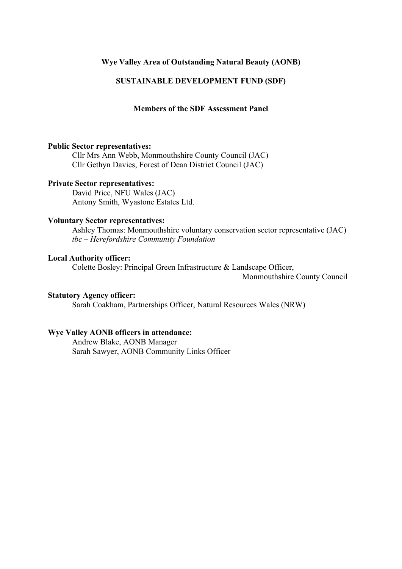## **Wye Valley Area of Outstanding Natural Beauty (AONB)**

# **SUSTAINABLE DEVELOPMENT FUND (SDF)**

## **Members of the SDF Assessment Panel**

#### **Public Sector representatives:**

Cllr Mrs Ann Webb, Monmouthshire County Council (JAC) Cllr Gethyn Davies, Forest of Dean District Council (JAC)

#### **Private Sector representatives:**

David Price, NFU Wales (JAC) Antony Smith, Wyastone Estates Ltd.

# **Voluntary Sector representatives:**

Ashley Thomas: Monmouthshire voluntary conservation sector representative (JAC) *tbc – Herefordshire Community Foundation*

#### **Local Authority officer:**

Colette Bosley: Principal Green Infrastructure & Landscape Officer,

Monmouthshire County Council

## **Statutory Agency officer:**

Sarah Coakham, Partnerships Officer, Natural Resources Wales (NRW)

# **Wye Valley AONB officers in attendance:**

Andrew Blake, AONB Manager Sarah Sawyer, AONB Community Links Officer